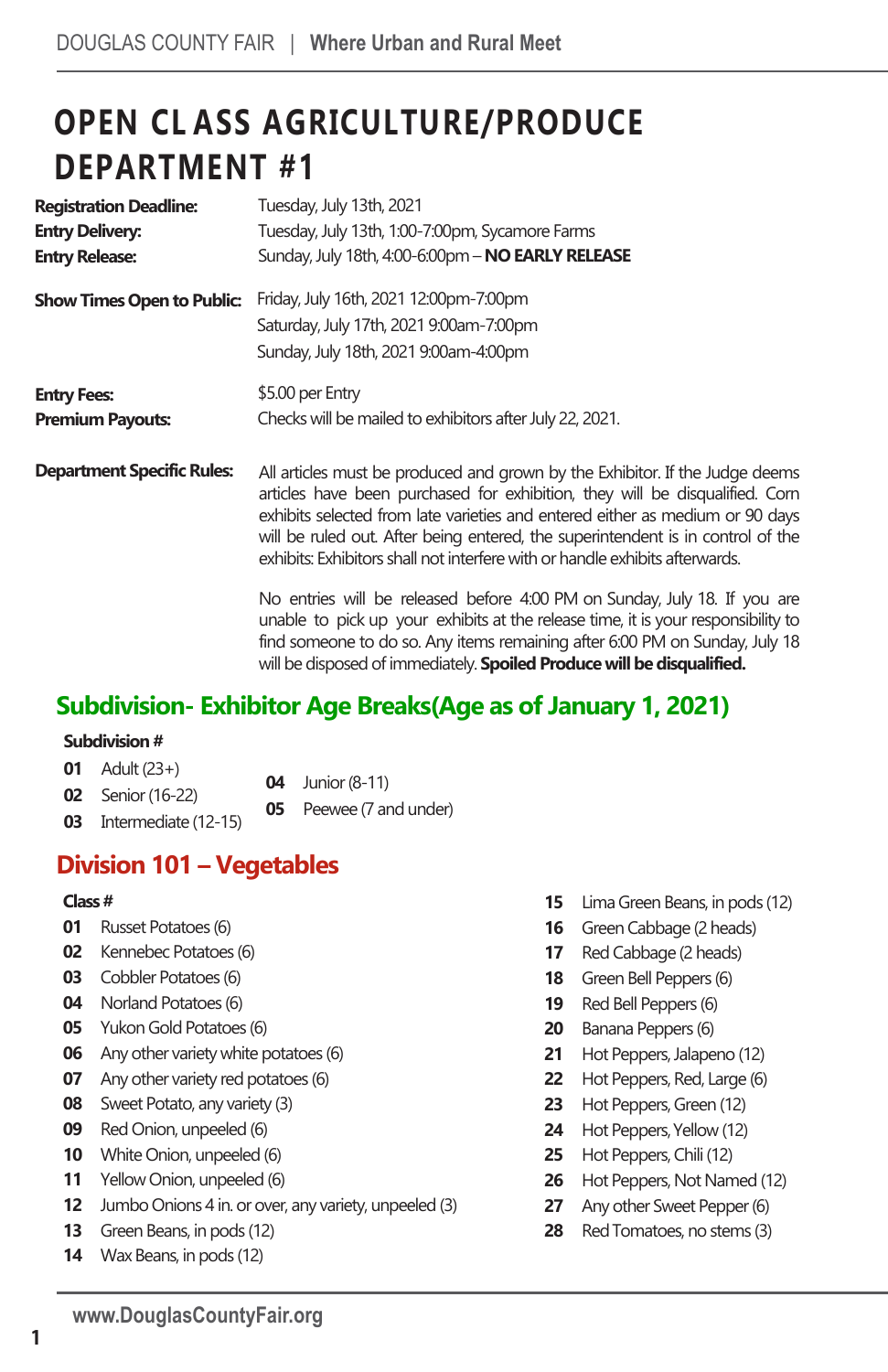# **OPEN CL ASS AGRICULTURE/PRODUCE DEPARTMENT #1**

| <b>Registration Deadline:</b>     | Tuesday, July 13th, 2021                                                                                                                                                                                                                                                                                                                                                                                         |  |  |
|-----------------------------------|------------------------------------------------------------------------------------------------------------------------------------------------------------------------------------------------------------------------------------------------------------------------------------------------------------------------------------------------------------------------------------------------------------------|--|--|
| <b>Entry Delivery:</b>            | Tuesday, July 13th, 1:00-7:00pm, Sycamore Farms                                                                                                                                                                                                                                                                                                                                                                  |  |  |
| <b>Entry Release:</b>             | Sunday, July 18th, 4:00-6:00pm - NO EARLY RELEASE                                                                                                                                                                                                                                                                                                                                                                |  |  |
| <b>Show Times Open to Public:</b> | Friday, July 16th, 2021 12:00pm-7:00pm<br>Saturday, July 17th, 2021 9:00am-7:00pm<br>Sunday, July 18th, 2021 9:00am-4:00pm                                                                                                                                                                                                                                                                                       |  |  |
| <b>Entry Fees:</b>                | \$5.00 per Entry                                                                                                                                                                                                                                                                                                                                                                                                 |  |  |
| <b>Premium Payouts:</b>           | Checks will be mailed to exhibitors after July 22, 2021.                                                                                                                                                                                                                                                                                                                                                         |  |  |
| <b>Department Specific Rules:</b> | All articles must be produced and grown by the Exhibitor. If the Judge deems<br>articles have been purchased for exhibition, they will be disqualified. Corn<br>exhibits selected from late varieties and entered either as medium or 90 days<br>will be ruled out. After being entered, the superintendent is in control of the<br>exhibits: Exhibitors shall not interfere with or handle exhibits afterwards. |  |  |
|                                   | No entries will be released before 4:00 PM on Sunday, July 18. If you are<br>unable to pick up your exhibits at the release time, it is your responsibility to<br>find someone to do so. Any items remaining after 6:00 PM on Sunday, July 18<br>will be disposed of immediately. <b>Spoiled Produce will be disqualified.</b>                                                                                   |  |  |

# **Subdivision- Exhibitor Age Breaks(Age as of January 1, 2021)**

#### **Subdivision #**

| <b>01</b> Adult $(23+)$  | $04$ Junior (8-11) |
|--------------------------|--------------------|
| <b>02</b> Senior (16-22) |                    |
|                          | Doguga (7 and une  |

- **03** Intermediate (12-15)
- Peewee (7 and under)

# **Division 101 – Vegetables**

#### **Class #**

- **01** Russet Potatoes (6)
- **02** Kennebec Potatoes (6)
- **03** Cobbler Potatoes (6)
- **04** Norland Potatoes (6)
- **05** Yukon Gold Potatoes (6)
- **06** Any other variety white potatoes (6)
- **07** Any other variety red potatoes (6)
- **08** Sweet Potato, any variety (3)
- **09** Red Onion, unpeeled (6)
- **10** White Onion, unpeeled (6)
- **11** Yellow Onion, unpeeled (6)
- **12** Jumbo Onions 4 in. or over, any variety, unpeeled (3)
- **13** Green Beans, in pods (12)
- **14** Wax Beans, in pods (12)
- **15** Lima Green Beans, in pods (12)
- **16** Green Cabbage (2 heads)
- **17** Red Cabbage (2 heads)
- **18** Green Bell Peppers (6)
- **19** Red Bell Peppers (6)
- **20** Banana Peppers (6)
- **21** Hot Peppers, Jalapeno (12)
- **22** Hot Peppers, Red, Large (6)
- **23** Hot Peppers, Green (12)
- **24** Hot Peppers, Yellow (12)
- **25** Hot Peppers, Chili (12)
- **26** Hot Peppers, Not Named (12)
- **27** Any other Sweet Pepper(6)
- **28** Red Tomatoes, no stems (3)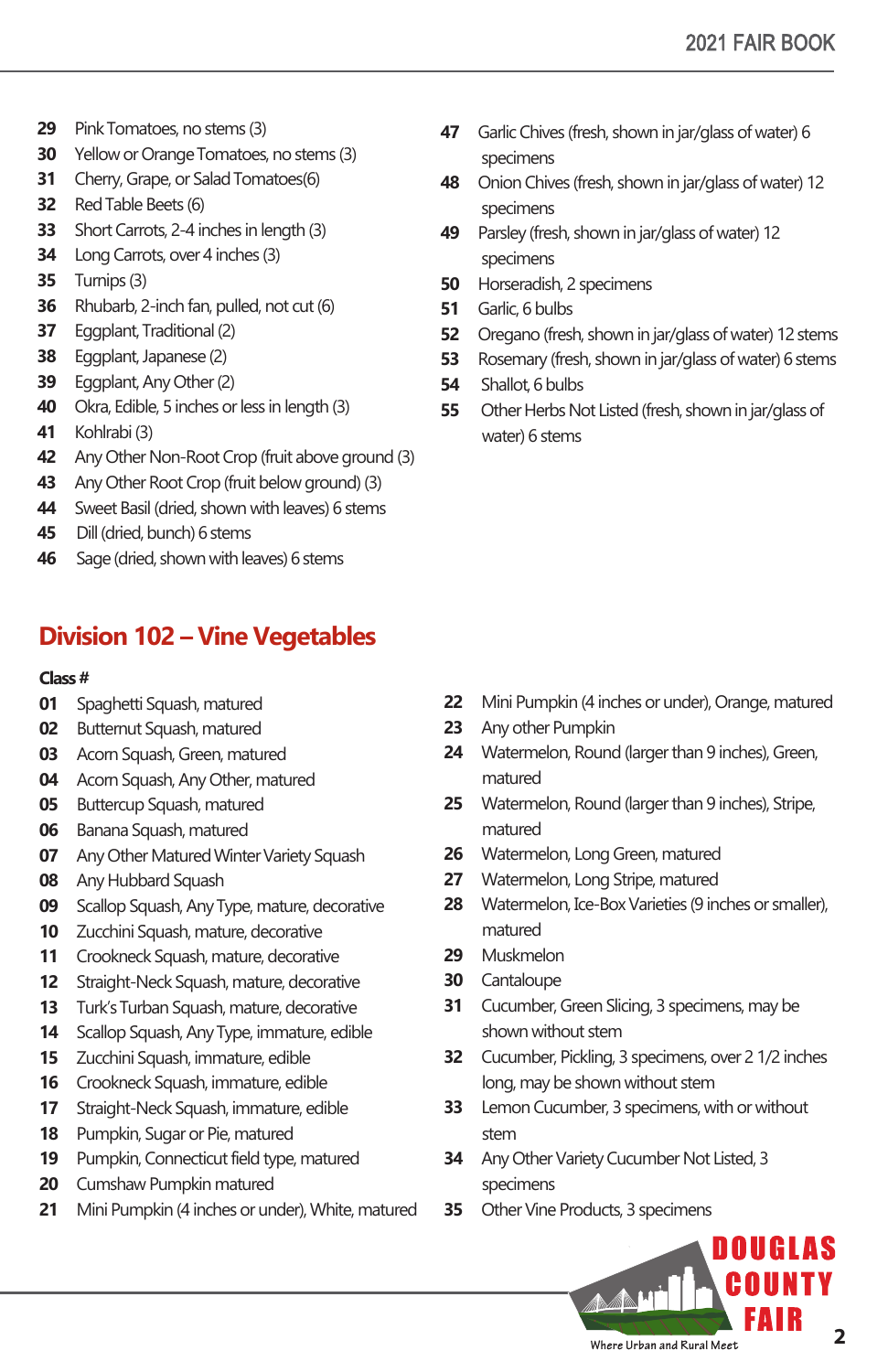- Pink Tomatoes, no stems (3)
- Yellow or Orange Tomatoes, no stems (3)
- Cherry, Grape, or Salad Tomatoes(6)
- Red Table Beets (6)
- Short Carrots, 2-4 inches in length (3)
- Long Carrots, over 4 inches (3)
- Turnips (3)
- Rhubarb, 2-inch fan, pulled, not cut (6)
- Eggplant, Traditional (2)
- Eggplant, Japanese (2)
- Eggplant, Any Other (2)
- Okra, Edible, 5 inches or less in length (3)
- Kohlrabi (3)
- Any Other Non-Root Crop (fruit above ground (3)
- Any Other Root Crop (fruit below ground) (3)
- Sweet Basil (dried, shown with leaves) 6 stems
- Dill (dried, bunch) 6 stems
- Sage (dried, shown with leaves) 6 stems

# **Division 102 – Vine Vegetables**

#### **Class #**

- Spaghetti Squash, matured
- Butternut Squash, matured
- Acorn Squash, Green, matured
- Acorn Squash, Any Other, matured
- Buttercup Squash, matured
- Banana Squash, matured
- Any Other Matured Winter Variety Squash
- Any Hubbard Squash
- Scallop Squash, Any Type, mature, decorative
- Zucchini Squash, mature, decorative
- Crookneck Squash, mature, decorative
- Straight-Neck Squash, mature, decorative
- Turk's Turban Squash, mature, decorative
- Scallop Squash, Any Type, immature, edible
- Zucchini Squash, immature, edible
- Crookneck Squash, immature, edible
- Straight-Neck Squash, immature, edible
- Pumpkin, Sugar or Pie, matured
- Pumpkin, Connecticut field type, matured
- Cumshaw Pumpkin matured
- Mini Pumpkin (4 inches or under), White, matured
- Garlic Chives (fresh, shown in jar/glass of water) 6 specimens
- Onion Chives (fresh, shown in jar/glass of water) 12 specimens
- Parsley (fresh, shown in jar/glass of water) 12 specimens
- Horseradish, 2 specimens
- Garlic, 6 bulbs
- Oregano (fresh, shown in jar/glass of water) 12 stems
- Rosemary (fresh, shown in jar/glass of water) 6 stems
- Shallot, 6 bulbs
- Other Herbs Not Listed (fresh, shown in jar/glass of water) 6 stems

- Mini Pumpkin (4 inches or under), Orange, matured
- Any other Pumpkin
- Watermelon, Round (larger than 9 inches), Green, matured
- Watermelon, Round (larger than 9 inches), Stripe, matured
- Watermelon, Long Green, matured
- Watermelon, Long Stripe, matured
- Watermelon, Ice-Box Varieties (9 inches or smaller), matured
- Muskmelon
- Cantaloupe
- Cucumber, Green Slicing, 3 specimens, may be shown without stem
- Cucumber, Pickling, 3 specimens, over 2 1/2 inches long, may be shown without stem
- Lemon Cucumber, 3 specimens, with or without stem
- Any Other Variety Cucumber Not Listed, 3 specimens
- Other Vine Products, 3 specimens